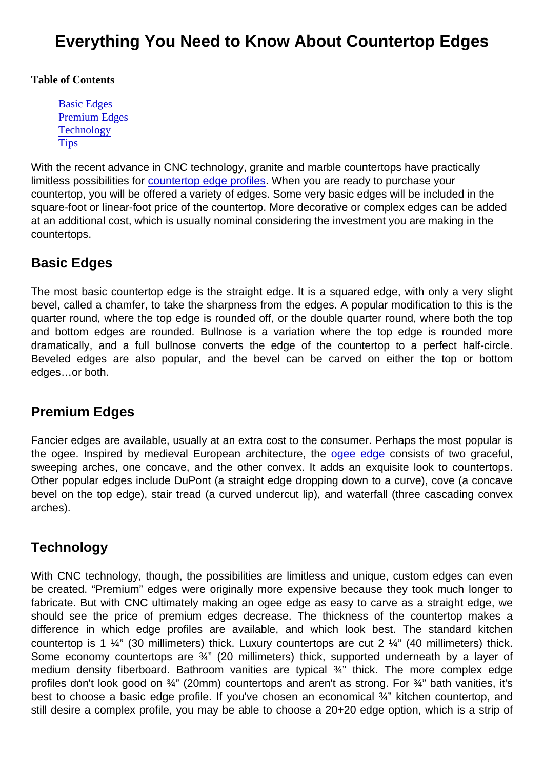# Everything You Need to Know About Countertop Edges

Table of Contents

Basic Edges Premium Edges **Technology [Tips](#page-1-0)** 

With the recent advance in CNC technology, granite and marble countertops have practically limitless possibilities for [countertop edge profiles.](https://marble.com/countertop-edges) When you are ready to purchase your countertop, you will be offered a variety of edges. Some very basic edges will be included in the square-foot or linear-foot price of the countertop. More decorative or complex edges can be added at an additional cost, which is usually nominal considering the investment you are making in the countertops.

### Basic Edges

The most basic countertop edge is the straight edge. It is a squared edge, with only a very slight bevel, called a chamfer, to take the sharpness from the edges. A popular modification to this is the quarter round, where the top edge is rounded off, or the double quarter round, where both the top and bottom edges are rounded. Bullnose is a variation where the top edge is rounded more dramatically, and a full bullnose converts the edge of the countertop to a perfect half-circle. Beveled edges are also popular, and the bevel can be carved on either the top or bottom edges…or both.

#### Premium Edges

Fancier edges are available, usually at an extra cost to the consumer. Perhaps the most popular is the ogee. Inspired by medieval European architecture, the [ogee edge](https://marble.com/granite-edges/ogee-edge/14) consists of two graceful, sweeping arches, one concave, and the other convex. It adds an exquisite look to countertops. Other popular edges include DuPont (a straight edge dropping down to a curve), cove (a concave bevel on the top edge), stair tread (a curved undercut lip), and waterfall (three cascading convex arches).

#### **Technology**

With CNC technology, though, the possibilities are limitless and unique, custom edges can even be created. "Premium" edges were originally more expensive because they took much longer to fabricate. But with CNC ultimately making an ogee edge as easy to carve as a straight edge, we should see the price of premium edges decrease. The thickness of the countertop makes a difference in which edge profiles are available, and which look best. The standard kitchen countertop is 1  $\frac{1}{4}$ " (30 millimeters) thick. Luxury countertops are cut 2  $\frac{1}{4}$ " (40 millimeters) thick. Some economy countertops are <sup>3</sup>/4" (20 millimeters) thick, supported underneath by a layer of medium density fiberboard. Bathroom vanities are typical ¾" thick. The more complex edge profiles don't look good on ¾" (20mm) countertops and aren't as strong. For ¾" bath vanities, it's best to choose a basic edge profile. If you've chosen an economical 3/4" kitchen countertop, and still desire a complex profile, you may be able to choose a 20+20 edge option, which is a strip of